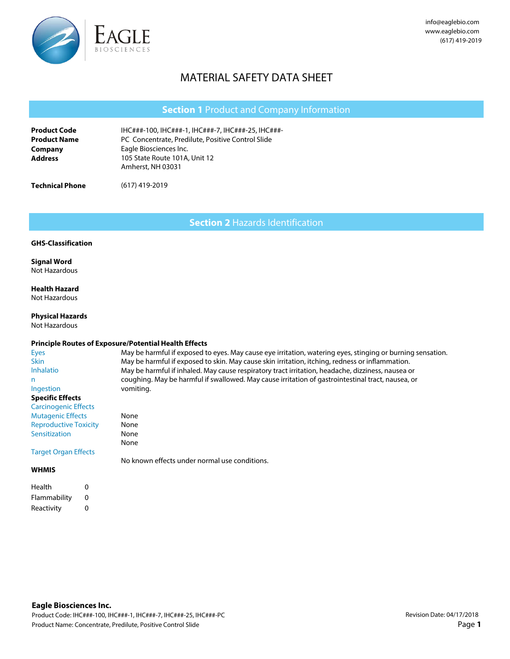

# MATERIAL SAFETY DATA SHEET

|                                            | <b>Section 1 Product and Company Information</b>                                                        |
|--------------------------------------------|---------------------------------------------------------------------------------------------------------|
| <b>Product Code</b><br><b>Product Name</b> | IHC###-100, IHC###-1, IHC###-7, IHC###-25, IHC###-<br>PC Concentrate, Predilute, Positive Control Slide |
| Company<br><b>Address</b>                  | Eagle Biosciences Inc.<br>105 State Route 101A, Unit 12<br>Amherst, NH 03031                            |
| <b>Technical Phone</b>                     | $(617)$ 419-2019                                                                                        |

**Section 2** Hazards Identification

#### **GHS-Classification**

# **Signal Word**

Not Hazardous

**Health Hazard**  Not Hazardous

**Physical Hazards**  Not Hazardous

### **Principle Routes of Exposure/Potential Health Effects**

None None None None

| Eyes                         |
|------------------------------|
| Skin                         |
| Inhalatio                    |
| n                            |
| <b>Ingestion</b>             |
| <b>Specific Effects</b>      |
| <b>Carcinogenic Effects</b>  |
| <b>Mutagenic Effects</b>     |
| <b>Reproductive Toxicity</b> |
| Sensitization                |
|                              |
| <b>Target Organ Effects</b>  |
|                              |
|                              |

May be harmful if exposed to eyes. May cause eye irritation, watering eyes, stinging or burning sensation. May be harmful if exposed to skin. May cause skin irritation, itching, redness or inflammation. May be harmful if inhaled. May cause respiratory tract irritation, headache, dizziness, nausea or coughing. May be harmful if swallowed. May cause irritation of gastrointestinal tract, nausea, or vomiting.

No known effects under normal use conditions.

## **WHMIS**

| Health       | O |
|--------------|---|
| Flammability | o |
| Reactivity   | o |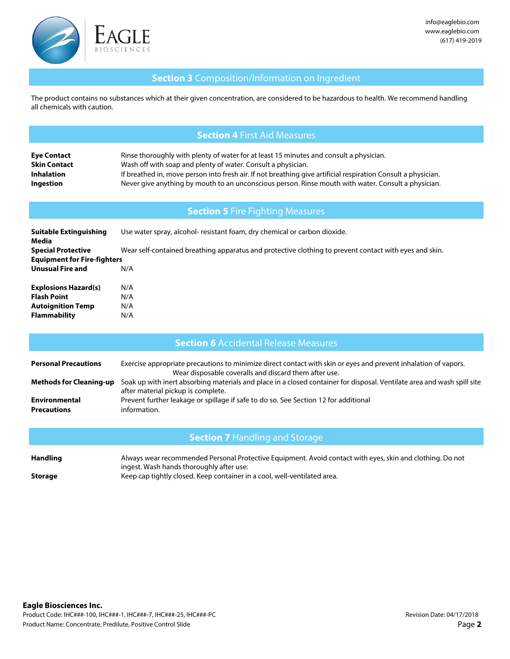

# **Section 3** Composition/Information on Ingredient

The product contains no substances which at their given concentration, are considered to be hazardous to health. We recommend handling all chemicals with caution.

## **Section 4** First Aid Measures

| <b>Eye Contact</b>  | Rinse thoroughly with plenty of water for at least 15 minutes and consult a physician.                        |
|---------------------|---------------------------------------------------------------------------------------------------------------|
| <b>Skin Contact</b> | Wash off with soap and plenty of water. Consult a physician.                                                  |
| <b>Inhalation</b>   | If breathed in, move person into fresh air. If not breathing give artificial respiration Consult a physician. |
| Ingestion           | Never give anything by mouth to an unconscious person. Rinse mouth with water. Consult a physician.           |

# **Section 5** Fire Fighting Measures

| Use water spray, alcohol- resistant foam, dry chemical or carbon dioxide.<br>Suitable Extinguishing<br>Media |                                                                                                        |  |  |
|--------------------------------------------------------------------------------------------------------------|--------------------------------------------------------------------------------------------------------|--|--|
| <b>Special Protective</b>                                                                                    | Wear self-contained breathing apparatus and protective clothing to prevent contact with eyes and skin. |  |  |
| <b>Equipment for Fire-fighters</b>                                                                           |                                                                                                        |  |  |
| <b>Unusual Fire and</b>                                                                                      | N/A                                                                                                    |  |  |
| <b>Explosions Hazard(s)</b>                                                                                  | N/A                                                                                                    |  |  |
| <b>Flash Point</b>                                                                                           | N/A                                                                                                    |  |  |
| <b>Autoignition Temp</b>                                                                                     | N/A                                                                                                    |  |  |
| <b>Flammability</b>                                                                                          | N/A                                                                                                    |  |  |

## **Section 6** Accidental Release Measures

| <b>Personal Precautions</b>         | Exercise appropriate precautions to minimize direct contact with skin or eyes and prevent inhalation of vapors.<br>Wear disposable coveralls and discard them after use. |
|-------------------------------------|--------------------------------------------------------------------------------------------------------------------------------------------------------------------------|
| <b>Methods for Cleaning-up</b>      | Soak up with inert absorbing materials and place in a closed container for disposal. Ventilate area and wash spill site<br>after material pickup is complete.            |
| Environmental<br><b>Precautions</b> | Prevent further leakage or spillage if safe to do so. See Section 12 for additional<br>information.                                                                      |

# **Section 7** Handling and Storage

| <b>Handling</b> | Always wear recommended Personal Protective Equipment. Avoid contact with eyes, skin and clothing. Do not |
|-----------------|-----------------------------------------------------------------------------------------------------------|
|                 | ingest. Wash hands thoroughly after use.                                                                  |
| Storage         | Keep cap tightly closed. Keep container in a cool, well-ventilated area.                                  |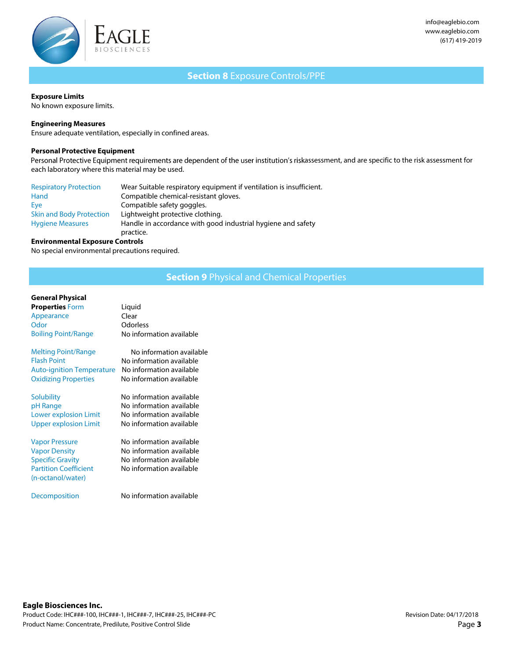

# **Section 8** Exposure Controls/PPE

#### **Exposure Limits**

No known exposure limits.

### **Engineering Measures**

Ensure adequate ventilation, especially in confined areas.

### **Personal Protective Equipment**

Personal Protective Equipment requirements are dependent of the user institution's riskassessment, and are specific to the risk assessment for each laboratory where this material may be used.

| <b>Respiratory Protection</b>   | Wear Suitable respiratory equipment if ventilation is insufficient. |
|---------------------------------|---------------------------------------------------------------------|
| Hand                            | Compatible chemical-resistant gloves.                               |
| Eye                             | Compatible safety goggles.                                          |
| <b>Skin and Body Protection</b> | Lightweight protective clothing.                                    |
| <b>Hygiene Measures</b>         | Handle in accordance with good industrial hygiene and safety        |
|                                 | practice.                                                           |

#### **Environmental Exposure Controls**

No special environmental precautions required.

# **Section 9** Physical and Chemical Properties

### **General Physical**

| <b>Properties Form</b>                                                                                                        | Liquid                                                                                                       |
|-------------------------------------------------------------------------------------------------------------------------------|--------------------------------------------------------------------------------------------------------------|
| Appearance                                                                                                                    | Clear                                                                                                        |
| Odor                                                                                                                          | Odorless                                                                                                     |
| <b>Boiling Point/Range</b>                                                                                                    | No information available                                                                                     |
| <b>Melting Point/Range</b>                                                                                                    | No information available                                                                                     |
| <b>Flash Point</b>                                                                                                            | No information available                                                                                     |
| <b>Auto-ignition Temperature</b>                                                                                              | No information available                                                                                     |
| <b>Oxidizing Properties</b>                                                                                                   | No information available                                                                                     |
| Solubility                                                                                                                    | No information available                                                                                     |
| pH Range                                                                                                                      | No information available                                                                                     |
| <b>Lower explosion Limit</b>                                                                                                  | No information available                                                                                     |
| <b>Upper explosion Limit</b>                                                                                                  | No information available                                                                                     |
| <b>Vapor Pressure</b><br><b>Vapor Density</b><br><b>Specific Gravity</b><br><b>Partition Coefficient</b><br>(n-octanol/water) | No information available<br>No information available<br>No information available<br>No information available |
| Decomposition                                                                                                                 | No information available                                                                                     |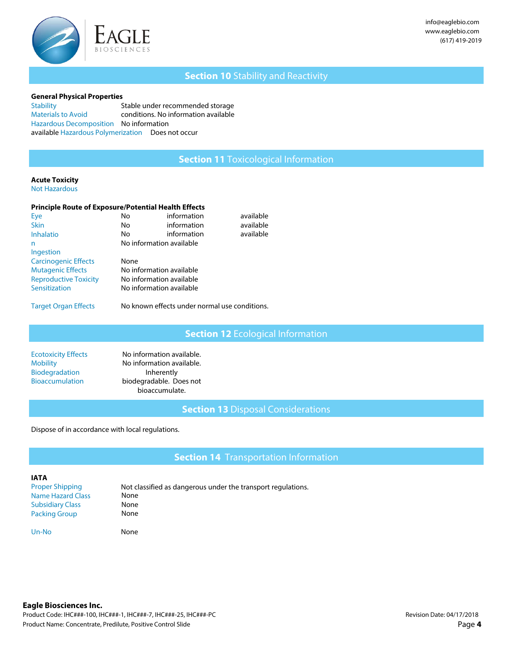

# **Section 10** Stability and Reactivity

#### **General Physical Properties**

**Stability** Materials to Avoid Stable under recommended storage conditions. No information available Hazardous Decomposition No information available Hazardous Polymerization Does not occur

## **Section 11** Toxicological Information

# **Acute Toxicity**

Not Hazardous

### **Principle Route of Exposure/Potential Health Effects**

| Eye                          | No                       | information | available |
|------------------------------|--------------------------|-------------|-----------|
| <b>Skin</b>                  | No                       | information | available |
| <b>Inhalatio</b>             | No                       | information | available |
| n                            | No information available |             |           |
| Ingestion                    |                          |             |           |
| <b>Carcinogenic Effects</b>  | None                     |             |           |
| <b>Mutagenic Effects</b>     | No information available |             |           |
| <b>Reproductive Toxicity</b> | No information available |             |           |
| Sensitization                | No information available |             |           |
|                              |                          |             |           |

Target Organ Effects

No known effects under normal use conditions.

**Section 12** Ecological Information

| <b>Ecotoxicity Effects</b> |  |
|----------------------------|--|
| <b>Mobility</b>            |  |
| <b>Biodegradation</b>      |  |
| <b>Bioaccumulation</b>     |  |
|                            |  |

No information available. No information available. Inherently biodegradable. Does not bioaccumulate.

**Section 13** Disposal Considerations

Dispose of in accordance with local regulations.

**Section 14** Transportation Information

#### **IATA**

Not classified as dangerous under the transport regulations. None None None Proper Shipping Name Hazard Class Subsidiary Class Packing Group

Un-No None